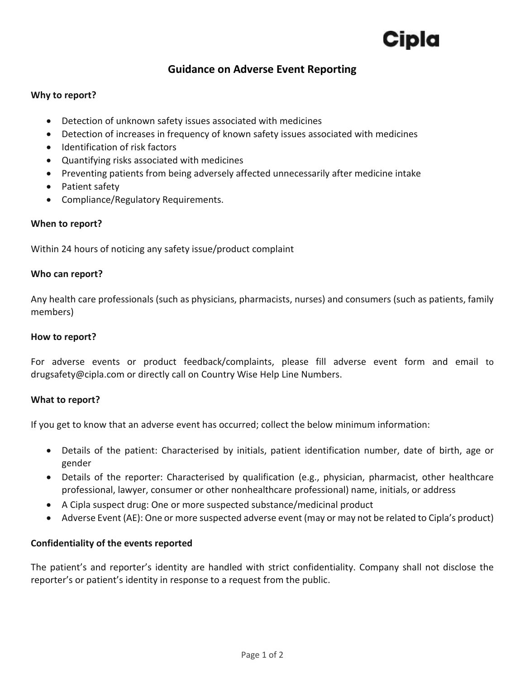### **Guidance on Adverse Event Reporting**

#### **Why to report?**

- Detection of unknown safety issues associated with medicines
- Detection of increases in frequency of known safety issues associated with medicines
- Identification of risk factors
- Quantifying risks associated with medicines
- Preventing patients from being adversely affected unnecessarily after medicine intake
- Patient safety
- Compliance/Regulatory Requirements.

#### **When to report?**

Within 24 hours of noticing any safety issue/product complaint

#### **Who can report?**

Any health care professionals (such as physicians, pharmacists, nurses) and consumers (such as patients, family members)

#### **How to report?**

For adverse events or product feedback/complaints, please fill adverse event form and email to [drugsafety@cipla.com](mailto:drugsafety@cipla.com) or directly call on Country Wise Help Line Numbers.

#### **What to report?**

If you get to know that an adverse event has occurred; collect the below minimum information:

- Details of the patient: Characterised by initials, patient identification number, date of birth, age or gender
- Details of the reporter: Characterised by qualification (e.g., physician, pharmacist, other healthcare professional, lawyer, consumer or other nonhealthcare professional) name, initials, or address
- A Cipla suspect drug: One or more suspected substance/medicinal product
- Adverse Event (AE): One or more suspected adverse event (may or may not be related to Cipla's product)

#### **Confidentiality of the events reported**

The patient's and reporter's identity are handled with strict confidentiality. Company shall not disclose the reporter's or patient's identity in response to a request from the public.